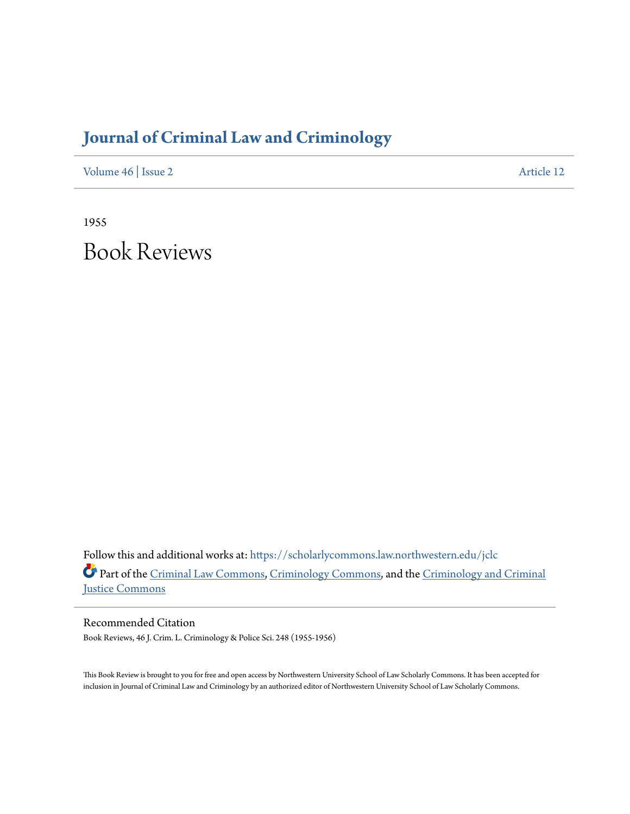## **[Journal of Criminal Law and Criminology](https://scholarlycommons.law.northwestern.edu/jclc?utm_source=scholarlycommons.law.northwestern.edu%2Fjclc%2Fvol46%2Fiss2%2F12&utm_medium=PDF&utm_campaign=PDFCoverPages)**

[Volume 46](https://scholarlycommons.law.northwestern.edu/jclc/vol46?utm_source=scholarlycommons.law.northwestern.edu%2Fjclc%2Fvol46%2Fiss2%2F12&utm_medium=PDF&utm_campaign=PDFCoverPages) | [Issue 2](https://scholarlycommons.law.northwestern.edu/jclc/vol46/iss2?utm_source=scholarlycommons.law.northwestern.edu%2Fjclc%2Fvol46%2Fiss2%2F12&utm_medium=PDF&utm_campaign=PDFCoverPages) [Article 12](https://scholarlycommons.law.northwestern.edu/jclc/vol46/iss2/12?utm_source=scholarlycommons.law.northwestern.edu%2Fjclc%2Fvol46%2Fiss2%2F12&utm_medium=PDF&utm_campaign=PDFCoverPages)

1955 Book Reviews

Follow this and additional works at: [https://scholarlycommons.law.northwestern.edu/jclc](https://scholarlycommons.law.northwestern.edu/jclc?utm_source=scholarlycommons.law.northwestern.edu%2Fjclc%2Fvol46%2Fiss2%2F12&utm_medium=PDF&utm_campaign=PDFCoverPages) Part of the [Criminal Law Commons](http://network.bepress.com/hgg/discipline/912?utm_source=scholarlycommons.law.northwestern.edu%2Fjclc%2Fvol46%2Fiss2%2F12&utm_medium=PDF&utm_campaign=PDFCoverPages), [Criminology Commons](http://network.bepress.com/hgg/discipline/417?utm_source=scholarlycommons.law.northwestern.edu%2Fjclc%2Fvol46%2Fiss2%2F12&utm_medium=PDF&utm_campaign=PDFCoverPages), and the [Criminology and Criminal](http://network.bepress.com/hgg/discipline/367?utm_source=scholarlycommons.law.northwestern.edu%2Fjclc%2Fvol46%2Fiss2%2F12&utm_medium=PDF&utm_campaign=PDFCoverPages) [Justice Commons](http://network.bepress.com/hgg/discipline/367?utm_source=scholarlycommons.law.northwestern.edu%2Fjclc%2Fvol46%2Fiss2%2F12&utm_medium=PDF&utm_campaign=PDFCoverPages)

Recommended Citation Book Reviews, 46 J. Crim. L. Criminology & Police Sci. 248 (1955-1956)

This Book Review is brought to you for free and open access by Northwestern University School of Law Scholarly Commons. It has been accepted for inclusion in Journal of Criminal Law and Criminology by an authorized editor of Northwestern University School of Law Scholarly Commons.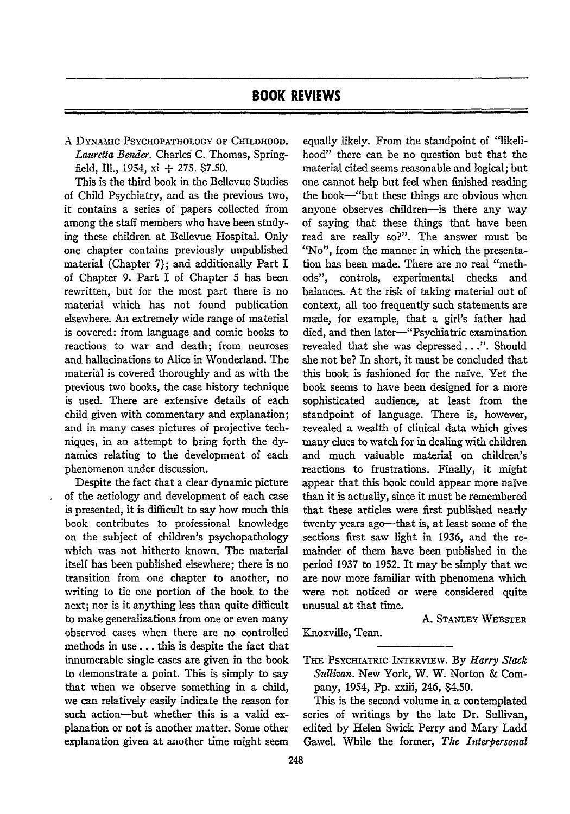A DYN.AMIC PSYCHOPATHOLOGY OF CHILDHOOD. *Lauretta Bender.* Charles C. Thomas, Springfield, Ill., 1954, xi + 275. \$7.50.

This is the third book in the Bellevue Studies of Child Psychiatry, and as the previous two, it contains a series of papers collected from among the staff members who have been studying these children at Bellevue Hospital. Only one chapter contains previously unpublished material (Chapter 7); and additionally Part I of Chapter 9. Part I of Chapter 5 has been rewritten, but for the most part there is no material which has not found publication elsewhere. An extremely wide range of material is covered: from language and comic books to reactions to war and death; from neuroses and hallucinations to Alice in Wonderland. The material is covered thoroughly and as with the previous two books, the case history technique is used. There are extensive details of each child given with commentary and explanation; and in many cases pictures of projective techniques, in an attempt to bring forth the dynamics relating to the development of each phenomenon under discussion.

Despite the fact that a clear dynamic picture of the aetiology and development of each case is presented, it is difficult to say how much this book contributes to professional knowledge on the subject of children's psychopathology which was not hitherto known. The material itself has been published elsewhere; there is no transition from one chapter to another, no writing to tie one portion of the book to the next; nor is it anything less than quite difficult to make generalizations from one or even many observed cases when there are no controlled methods in use **...** this is despite the fact that innumerable single cases are given in the book to demonstrate a point. This is simply to say that when we observe something in a child, we can relatively easily indicate the reason for such action--but whether this is a valid explanation or not is another matter. Some other explanation given at another time might seem

equally likely. From the standpoint of "likelihood" there can be no question but that the material cited seems reasonable and logical; but one cannot help but feel when finished reading the book-"but these things are obvious when anyone observes children-is there any way of saying that these things that have been read are really so?". The answer must bc "No", from the manner in which the presentation has been made. There are no real "methods", controls, experimental checks and balances. At the risk of taking material out of context, all too frequently such statements are made, for example, that a girl's father had died, and then later-"Psychiatric examination revealed that she was depressed. **.** .". Should she not **be?** In short, it must be concluded that this book is fashioned for the naive. Yet the book seems to have been designed for a more sophisticated audience, at least from the standpoint of language. There is, however, revealed a wealth of clinical data which gives many clues to watch for in dealing with children and much valuable material on children's reactions to frustrations. Finally, it might appear that this book could appear more naive than it is actually, since it must be remembered that these articles were first published nearly twenty years ago-that is, at least some of the sections first saw light in 1936, and the remainder of them have been published in the period 1937 to 1952. It may be simply that we are now more familiar with phenomena which were not noticed or were considered quite unusual at that time.

**A.** STANLEY WEBSTER

**THE** PsYciATRIc LTERVIEW. **By** *Harry Stack Sullivan.* New York, W. W. Norton & Company, 1954, Pp. xxiii, 246, \$4.50.

This is the second volume in a contemplated series of writings **by** the late Dr. Sullivan, edited by Helen Swick Perry and Mary Ladd Gawel. While the former, The *Interpersonal*

Knoxville, Tenn.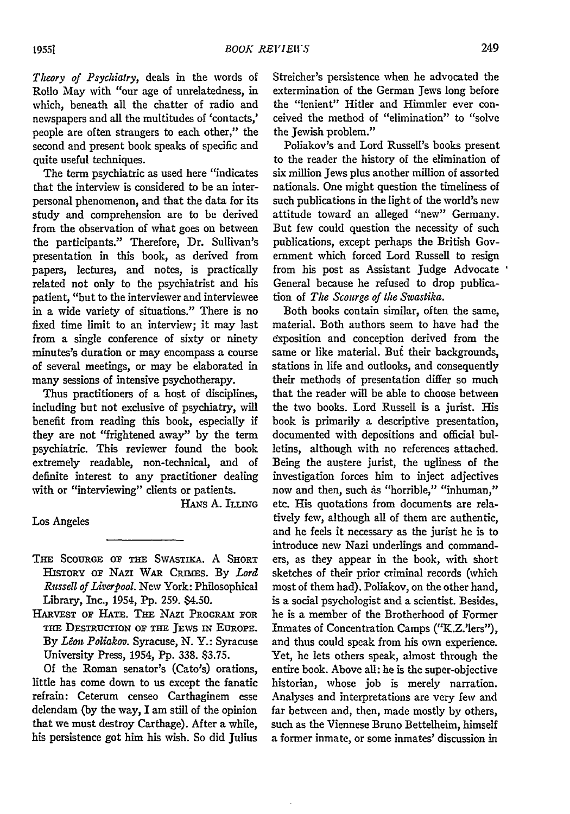*Theory of Psychiatry,* deals in the words of Rollo May with "our age of unrelatedness, in which, beneath all the chatter of radio and newspapers and all the multitudes of 'contacts,' people are often strangers to each other," the second and present book speaks of specific and quite useful techniques.

The term psychiatric as used here "indicates that the interview is considered to be an interpersonal phenomenon, and that the data for its study and comprehension are to be derived from the observation of what goes on between the participants." Therefore, Dr. Sullivan's presentation in this book, as derived from papers, lectures, and notes, is practically related not only to the psychiatrist and his patient, "but to the interviewer and interviewee in a wide variety of situations." There is no fixed time limit to an interview; it may last from a single conference of sixty or ninety minutes's duration or may encompass a course of several meetings, or may be elaborated in many sessions of intensive psychotherapy.

Thus practitioners of a host of disciplines, including but not exclusive of psychiatry, will benefit from reading this book, especially if they are not "frightened away" by the term psychiatric. This reviewer found the book extremely readable, non-technical, and of definite interest to any practitioner dealing with or "interviewing" clients or patients.

HANs **A. ILLING**

Los Angeles

- *Tim* **SCOURGE OF** THE **SWASTIKA. A** SHORT HISTORY OF NAZI WAR CRIMES. By Lord *Russell of Liverpool.* New York: Philosophical Library, Inc., 1954, Pp. 259. \$4.50.
- HARVEST OF HATE. THE NAZI PROGRAM FOR THE DESTRUCTION OF THE JEWS IN EUROPE. By *Léon Poliakov*. Syracuse, N. Y.: Syracuse University Press, 1954, Pp. 338. \$3.75.

Of the Roman senator's (Cato's) orations, little has come down to us except the fanatic refrain: Ceterum censeo Carthaginem esse delendam (by the way, I am still of the opinion that we must destroy Carthage). After a while, his persistence got him his wish. So did Julius

Streicher's persistence when he advocated the extermination of the German Jews long before the "lenient" Hitler and Himmler ever conceived the method of "elimination" to "solve the Jewish problem."

Poliakov's and Lord Russell's books present to the reader the history of the elimination of six million Jews plus another million of assorted nationals. One might question the timeliness of such publications in the light of the world's new attitude toward an alleged "new" Germany. But few could question the necessity of such publications, except perhaps the British Government which forced Lord Russell to resign from his post as Assistant Judge Advocate General because he refused to drop publication of *The Scourge of the Swastika.*

Both books contain similar, often the same, material. Both authors seem to have had the exposition and conception derived from the same or like material. But their backgrounds, stations in life and outlooks, and consequently their methods of presentation differ so much that the reader will be able to choose between the two books. Lord Russell is a jurist. His book is primarily a descriptive presentation, documented with depositions and official bulletins, although with no references attached. Being the austere jurist, the ugliness of the investigation forces him to inject adjectives now and then, such as "horrible," "inhuman," etc. His quotations from documents are relatively few, although all of them are authentic, and he feels it necessary as the jurist he is to introduce new Nazi underlings and commanders, as they appear in the book, with short sketches of their prior criminal records (which most of them had). Poliakov, on the other hand, is a social psychologist and a scientist. Besides, he is a member of the Brotherhood of Former Inmates of Concentration Camps ("K.Z.'lers"), and thus could speak from his own experience. Yet, he lets others speak, almost through the entire book. Above all: he is the super-objective historian, whose job is merely narration. Analyses and interpretations are very few and far between and, then, made mostly by others, such as the Viennese Bruno Bettelheim, himself a former inmate, or some inmates' discussion in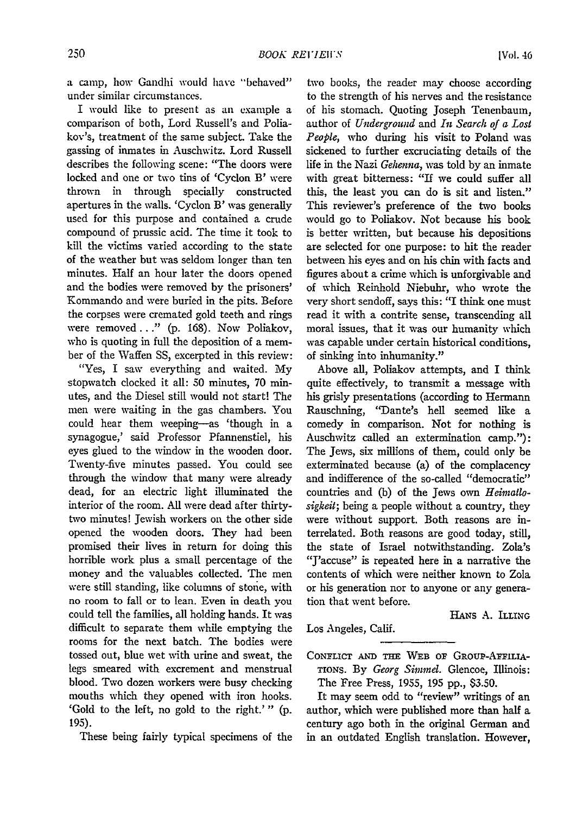a camp, how Gandhi would have "behaved" under similar circumstances.

I would like to present as an example a comparison of both, Lord Russell's and Poliakov's, treatment of the same subject. Take the gassing of inmates in Auschwitz. Lord Russell describes the following scene: "The doors were locked and one or two tins of 'Cyclon B' were thrown in through specially constructed apertures in the walls. 'Cyclon B' was generally used for this purpose and contained a crude compound of prussic acid. The time it took to kill the victims varied according to the state of the weather but was seldom longer than ten minutes. Half an hour later the doors opened and the bodies were removed by the prisoners' Kommando and were buried in the pits. Before the corpses were cremated gold teeth and rings were removed..." (p. 168). Now Poliakov, who is quoting in full the deposition of a member of the Waffen SS, excerpted in this review:

"Yes, I saw everything and waited. My stopwatch clocked it all: 50 minutes, 70 minutes, and the Diesel still would not start! The men were waiting in the gas chambers. You could hear them weeping-as 'though in a synagogue,' said Professor Pfannenstiel, his eyes glued to the window in the wooden door. Twenty-five minutes passed. You could see through the window that many were already dead, for an electric light illuminated the interior of the room. All were dead after thirtytwo minutes! Jewish workers on the other side opened the wooden doors. They had been promised their lives in return for doing this horrible work plus a small percentage of the money and the valuables collected. The men were still standing, like columns of stone, with no room to fall or to lean. Even in death you could tell the families, all holding hands. It was difficult to separate them while emptying the rooms for the next batch. The bodies were tossed out, blue wet with urine and sweat, the legs smeared with excrement and menstrual blood. Two dozen workers were busy checking mouths which they opened with iron hooks. 'Gold to the left, no gold to the right.'" (p. 195).

These being fairly typical specimens of the

two books, the reader may choose according to the strength of his nerves and the resistance of his stomach. Quoting Joseph Tenenbaum, author of *Underground* and *In Search of a Lost People,* who during his visit to Poland was sickened to further excruciating details of the life in the Nazi *Gehenna,* was told by an inmate with great bitterness: "If we could suffer all this, the least you can do is sit and listen." This reviewer's preference of the two books would go to Poliakov. Not because his book is better written, but because his depositions are selected for one purpose: to hit the reader between his eyes and on his chin with facts and figures about a crime which is unforgivable and of which Reinhold Niebuhr, who wrote the very short sendoff, says this: "I think one must read it with a contrite sense, transcending all moral issues, that it was our humanity which was capable under certain historical conditions, of sinking into inhumanity."

Above all, Poliakov attempts, and I think quite effectively, to transmit a message with his grisly presentations (according to Hermann Rauschning, "Dante's hell seemed like a comedy in comparison. Not for nothing is Auschwitz called an extermination camp."): The Jews, six millions of them, could only be exterminated because (a) of the complacency and indifference of the so-called "democratic" countries and **(b)** of the Jews own *Heintatlosigkeit;* being a people without a country, they were without support. Both reasons are interrelated. Both reasons are good today, still, the state of Israel notwithstanding. Zola's "J'accuse" is repeated here in a narrative the contents of which were neither known to Zola or his generation nor to anyone or any generation that went before.

HANs A. ILLING

Los Angeles, Calif.

CONFLICT AND THE WEB OF GROUP-AFFILIA-**TIONS.** By *Georg Si{nrnel.* Glencoe, Illinois: The Free Press, 1955, 195 pp., \$3.50.

It may seem odd to "review" writings of an author, which were published more than half a century ago both in the original German and in an outdated English translation. However,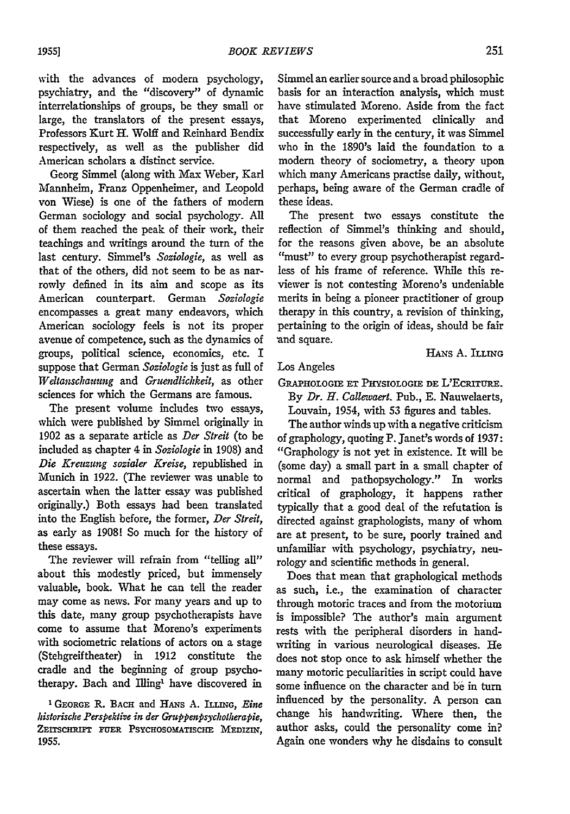with the advances of modern psychology, psychiatry, and the "discovery" of dynamic interrelationships of groups, be they small or large, the translators of the present essays, Professors Kurt H. Wolff and Reinhard Bendix respectively, as well as the publisher did American scholars a distinct service.

Georg Simmel (along with Max Weber, Karl Mannheim, Franz Oppenheimer, and Leopold von Wiese) is one of the fathers of modem German sociology and social psychology. All of them reached the peak of their work, their teachings and writings around the turn of the last century. Simmel's *Soziologie,* as well as that of the others, did not seem to be as narrowly defined in its aim and scope as its American counterpart. German *Soziologie* encompasses a great many endeavors, which American sociology feels is not its proper avenue of competence, such as the dynamics of groups, political science, economics, etc. I suppose that German *Soziologie* is just as full of *Weltanschauung* and *Gruendlichkeit,* as other sciences for which the Germans are famous.

The present volume includes two essays, which were published by Simmel originally in 1902 as a separate article as *Der Streit* (to be included as chapter 4 in *Soziologie* in 1908) and *Die Kreuzung sozialer Kreise,* republished in Munich in 1922. (The reviewer was unable to ascertain when the latter essay was published originally.) Both essays had been translated into the English before, the former, *Der Streit,* as early as 1908! So much for the history of these essays.

The reviewer will refrain from "telling all" about this modestly priced, but immensely valuable, book. What he can tell the reader may come as news. For many years and up to this date, many group psychotherapists have come to assume that Moreno's experiments with sociometric relations of actors on a stage (Stehgreif theater) in 1912 constitute the cradle and the beginning of group psychotherapy. Bach and Illing<sup>1</sup> have discovered in

**1** GEORGE R. BAcH and **HANs A. ILLING,** *Eine Idstorische Perspektive in der Gruppenpsychotherapie,* ZEITSCHRIFT FUER PSYCHOSOMATISCHE MEDIZIN. **1955.**

Simmel an earlier source and a broad philosophic basis for an interaction analysis, which must have stimulated Moreno. Aside from the fact that Moreno experimented clinically and successfully early in the century, it was Simmel who in the 1890's laid the foundation to a modem theory of sociometry, a theory upon which many Americans practise daily, without, perhaps, being aware of the German cradle of these ideas.

The present two essays constitute the reflection of Simmel's thinking and should, for the reasons given above, be an absolute "must" to every group psychotherapist regardless of his frame of reference. While this reviewer is not contesting Moreno's undeniable merits in being a pioneer practitioner of group therapy in this country, a revision of thinking, pertaining to the origin of ideas, should be fair and square.

HANS A. ILLING

Los Angeles

GAPHoLoGIE **ET PHYSIOLOGE** DE L'EcRiruRE. By *Dr. H. Callewaert.* Pub., E. Nauwelaerts,

Louvain, 1954, with 53 figures and tables.

The author winds up with a negative criticism of graphology, quoting P. Janet's words of 1937: "Graphology is not yet in existence. It will be (some day) a small part in a small chapter of normal and pathopsychology." In works critical of graphology, it happens rather typically that a good deal of the refutation is directed against graphologists, many of whom are at present, to be sure, poorly trained and unfamiliar with psychology, psychiatry, neurology and scientific methods in general.

Does that mean that graphological methods as such, i.e., the examination of character through motoric traces and from the motorium is impossible? The author's main argument rests with the peripheral disorders in handwriting in various neurological diseases. He does not stop once to ask himself whether the many motoric peculiarities in script could have some influence on the character and be in turn influenced by the personality. A person can change his handwriting. Where then, the author asks, could the personality come in? Again one wonders why he disdains to consult

251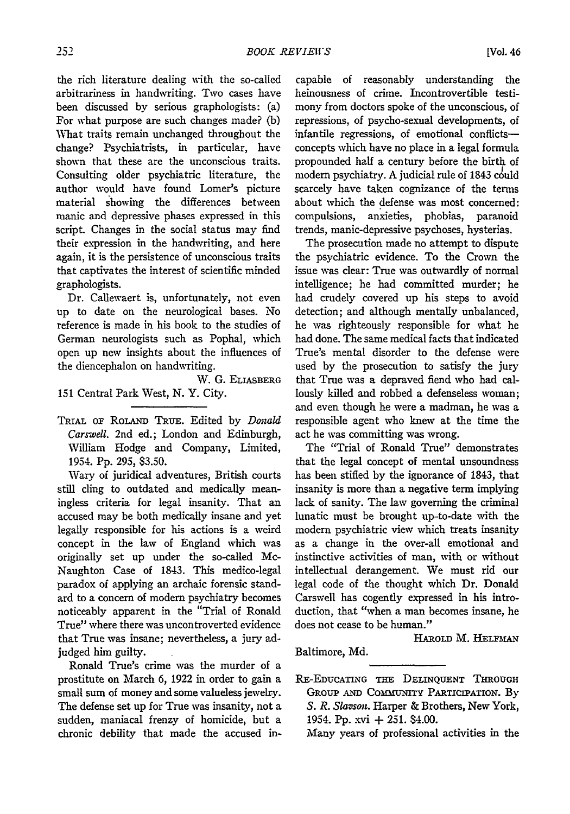the rich literature dealing with the so-called arbitrariness in handwriting. Two cases have been discussed by serious graphologists: (a) For what purpose are such changes made? (b) What traits remain unchanged throughout the change? Psychiatrists, in particular, have shown that these are the unconscious traits. Consulting older psychiatric literature, the author would have found Lomer's picture material showing the differences between manic and depressive phases expressed in this script. Changes in the social status may find their expression in the handwriting, and here again, it is the persistence of unconscious traits that captivates the interest of scientific minded graphologists.

Dr. Callewaert is, unfortunately, not even up to date on the neurological bases. No reference is made in his book to the studies of German neurologists such as Pophal, which open up new insights about the influences of the diencephalon on handwriting.

W. G. ELIASBERG

151 Central Park West, N. Y. City.

TRIAL OF RoLANm TRuE. Edited by *Donald Carswell.* 2nd ed.; London and Edinburgh, William Hodge and Company, Limited, 1954. Pp. 295, \$3.50.

Wary of juridical adventures, British courts still cling to outdated and medically meaningless criteria for legal insanity. That an accused may be both medically insane and yet legally responsible for his actions is a weird concept in the law of England which was originally set up under the so-called Mc-Naughton Case of 1843. This medico-legal paradox of applying an archaic forensic standard to a concern of modem psychiatry becomes noticeably apparent in the "Trial of Ronald True" where there was uncontroverted evidence that True was insane; nevertheless, a jury adjudged him guilty.

Ronald True's crime was the murder of a prostitute on March 6, 1922 in order to gain a small sum of money and some valueless jewelry. The defense set up for True was insanity, not a sudden, maniacal frenzy of homicide, but a chronic debility that made the accused in-

capable of reasonably understanding the heinousness of crime. Incontrovertible testimony from doctors spoke of the unconscious, of repressions, of psycho-sexual developments, of infantile regressions, of emotional conflictsconcepts which have no place in a legal formula propounded half a century before the birth of modern psychiatry. A judicial rule of 1843 could scarcely have taken cognizance of the terms about which the defense was most concerned: compulsions, anxieties, phobias, paranoid trends, manic-depressive psychoses, hysterias.

The prosecution made no attempt to dispute the psychiatric evidence. To the Crown the issue was clear: True was outwardly of normal intelligence; he had committed murder; he had crudely covered up his steps to avoid detection; and although mentally unbalanced, he was righteously responsible for what he had done. The same medical facts that indicated True's mental disorder to the defense were used by the prosecution to satisfy the jury that True was a depraved fiend who had callously killed and robbed a defenseless woman; and even though he were a madman, he was a responsible agent who knew at the time the act he was committing was wrong.

The "Trial of Ronald True" demonstrates that the legal concept of mental unsoundness has been stifled by the ignorance of 1843, that insanity is more than a negative term implying lack of sanity. The law governing the criminal lunatic must be brought up-to-date with the modern psychiatric view which treats insanity as a change in the over-all emotional and instinctive activities of man, with or without intellectual derangement. We must rid our legal code of the thought which Dr. Donald Carswell has cogently expressed in his introduction, that "when a man becomes insane, he does not cease to be human."

HAROLD M. HELFMAN

Baltimore, Md.

RE-EDUCATING THE DELINQUENT THROUGH GRoUp **AND COMUNITY PARTICIPATION.** By *S. R. Slavson.* Harper **&** Brothers, New York, 1954. Pp. xvi **+** 251. \$4.00.

Many years of professional activities in the